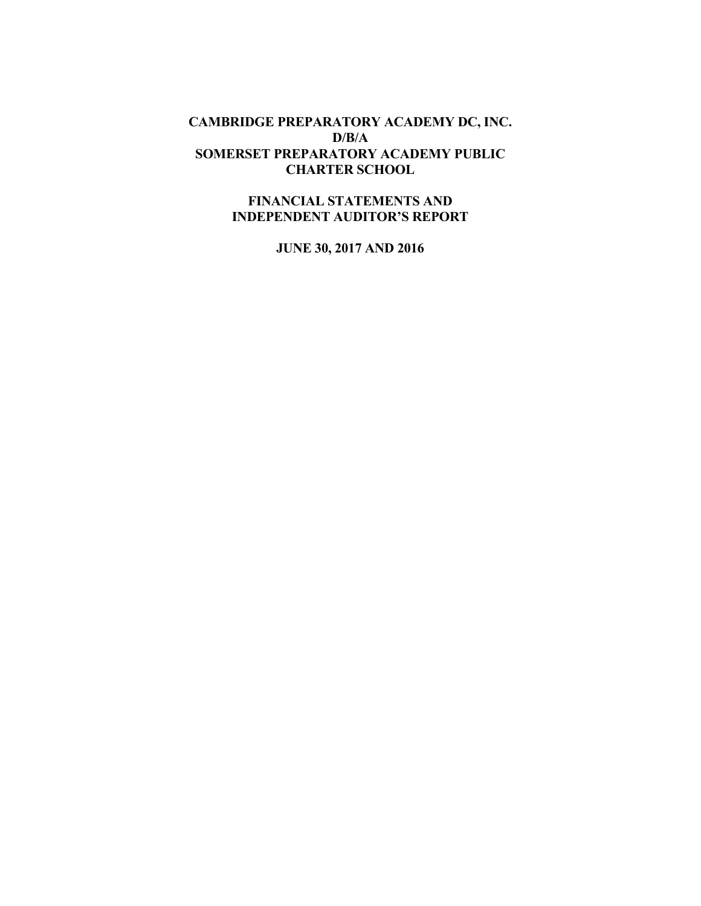# **CAMBRIDGE PREPARATORY ACADEMY DC, INC. D/B/A SOMERSET PREPARATORY ACADEMY PUBLIC CHARTER SCHOOL**

### **FINANCIAL STATEMENTS AND INDEPENDENT AUDITOR'S REPORT**

**JUNE 30, 2017 AND 2016**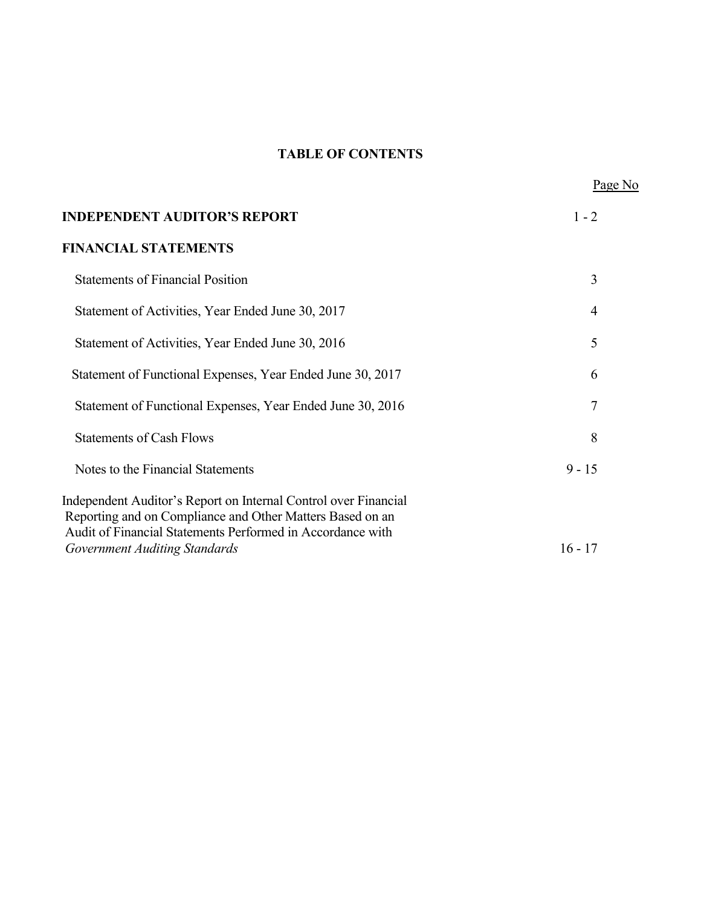# **TABLE OF CONTENTS**

| <b>INDEPENDENT AUDITOR'S REPORT</b>                                                                                                                                                        | $1 - 2$   |
|--------------------------------------------------------------------------------------------------------------------------------------------------------------------------------------------|-----------|
| <b>FINANCIAL STATEMENTS</b>                                                                                                                                                                |           |
| <b>Statements of Financial Position</b>                                                                                                                                                    | 3         |
| Statement of Activities, Year Ended June 30, 2017                                                                                                                                          | 4         |
| Statement of Activities, Year Ended June 30, 2016                                                                                                                                          | 5         |
| Statement of Functional Expenses, Year Ended June 30, 2017                                                                                                                                 | 6         |
| Statement of Functional Expenses, Year Ended June 30, 2016                                                                                                                                 | 7         |
| <b>Statements of Cash Flows</b>                                                                                                                                                            | 8         |
| Notes to the Financial Statements                                                                                                                                                          | $9 - 15$  |
| Independent Auditor's Report on Internal Control over Financial<br>Reporting and on Compliance and Other Matters Based on an<br>Audit of Financial Statements Performed in Accordance with |           |
| <b>Government Auditing Standards</b>                                                                                                                                                       | $16 - 17$ |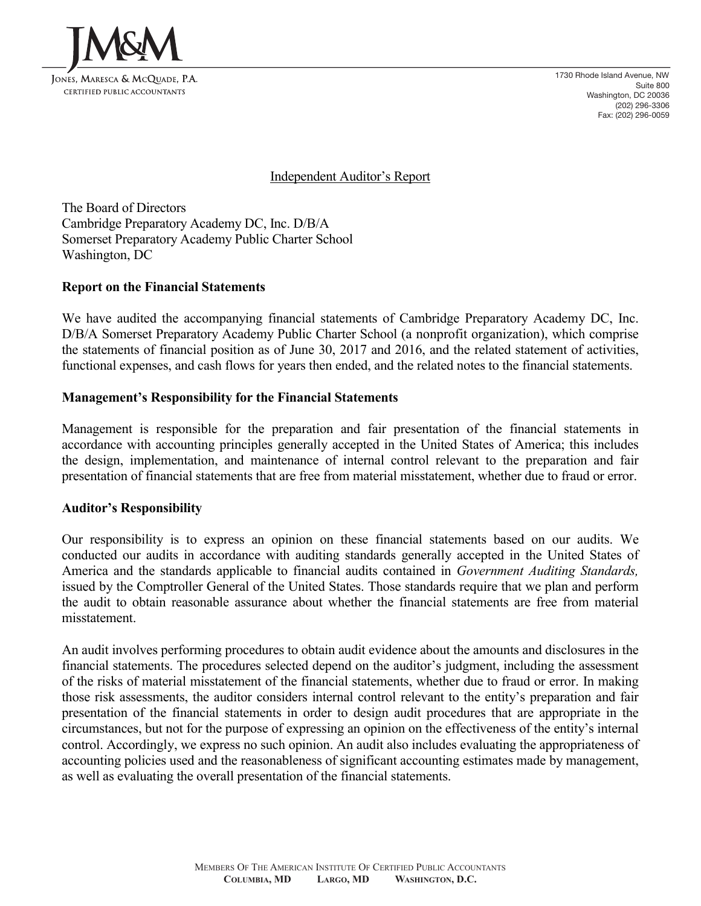

1730 Rhode Island Avenue, NW Suite 800 Washington, DC 20036 (202) 296-3306 Fax: (202) 296-0059

## Independent Auditor's Report

The Board of Directors Cambridge Preparatory Academy DC, Inc. D/B/A Somerset Preparatory Academy Public Charter School Washington, DC

### **Report on the Financial Statements**

We have audited the accompanying financial statements of Cambridge Preparatory Academy DC, Inc. D/B/A Somerset Preparatory Academy Public Charter School (a nonprofit organization), which comprise the statements of financial position as of June 30, 2017 and 2016, and the related statement of activities, functional expenses, and cash flows for years then ended, and the related notes to the financial statements.

#### **Management's Responsibility for the Financial Statements**

Management is responsible for the preparation and fair presentation of the financial statements in accordance with accounting principles generally accepted in the United States of America; this includes the design, implementation, and maintenance of internal control relevant to the preparation and fair presentation of financial statements that are free from material misstatement, whether due to fraud or error.

#### **Auditor's Responsibility**

Our responsibility is to express an opinion on these financial statements based on our audits. We conducted our audits in accordance with auditing standards generally accepted in the United States of America and the standards applicable to financial audits contained in *Government Auditing Standards,* issued by the Comptroller General of the United States. Those standards require that we plan and perform the audit to obtain reasonable assurance about whether the financial statements are free from material misstatement.

An audit involves performing procedures to obtain audit evidence about the amounts and disclosures in the financial statements. The procedures selected depend on the auditor's judgment, including the assessment of the risks of material misstatement of the financial statements, whether due to fraud or error. In making those risk assessments, the auditor considers internal control relevant to the entity's preparation and fair presentation of the financial statements in order to design audit procedures that are appropriate in the circumstances, but not for the purpose of expressing an opinion on the effectiveness of the entity's internal control. Accordingly, we express no such opinion. An audit also includes evaluating the appropriateness of accounting policies used and the reasonableness of significant accounting estimates made by management, as well as evaluating the overall presentation of the financial statements.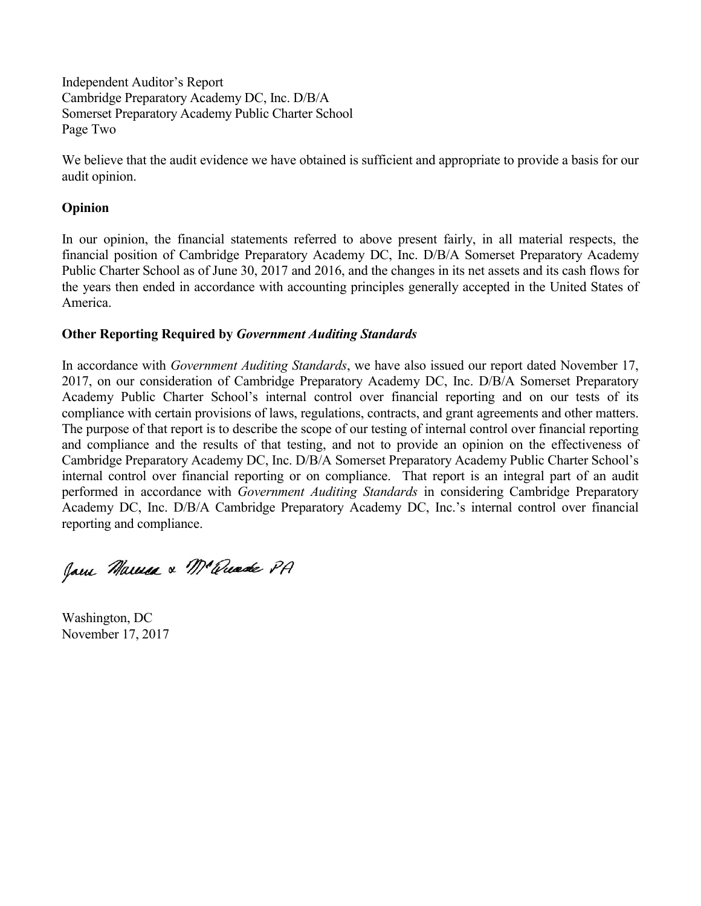Independent Auditor's Report Cambridge Preparatory Academy DC, Inc. D/B/A Somerset Preparatory Academy Public Charter School Page Two

We believe that the audit evidence we have obtained is sufficient and appropriate to provide a basis for our audit opinion.

# **Opinion**

In our opinion, the financial statements referred to above present fairly, in all material respects, the financial position of Cambridge Preparatory Academy DC, Inc. D/B/A Somerset Preparatory Academy Public Charter School as of June 30, 2017 and 2016, and the changes in its net assets and its cash flows for the years then ended in accordance with accounting principles generally accepted in the United States of America.

# **Other Reporting Required by** *Government Auditing Standards*

In accordance with *Government Auditing Standards*, we have also issued our report dated November 17, 2017, on our consideration of Cambridge Preparatory Academy DC, Inc. D/B/A Somerset Preparatory Academy Public Charter School's internal control over financial reporting and on our tests of its compliance with certain provisions of laws, regulations, contracts, and grant agreements and other matters. The purpose of that report is to describe the scope of our testing of internal control over financial reporting and compliance and the results of that testing, and not to provide an opinion on the effectiveness of Cambridge Preparatory Academy DC, Inc. D/B/A Somerset Preparatory Academy Public Charter School's internal control over financial reporting or on compliance. That report is an integral part of an audit performed in accordance with *Government Auditing Standards* in considering Cambridge Preparatory Academy DC, Inc. D/B/A Cambridge Preparatory Academy DC, Inc.'s internal control over financial reporting and compliance.

Jam Marie & Ma Quade PA

Washington, DC November 17, 2017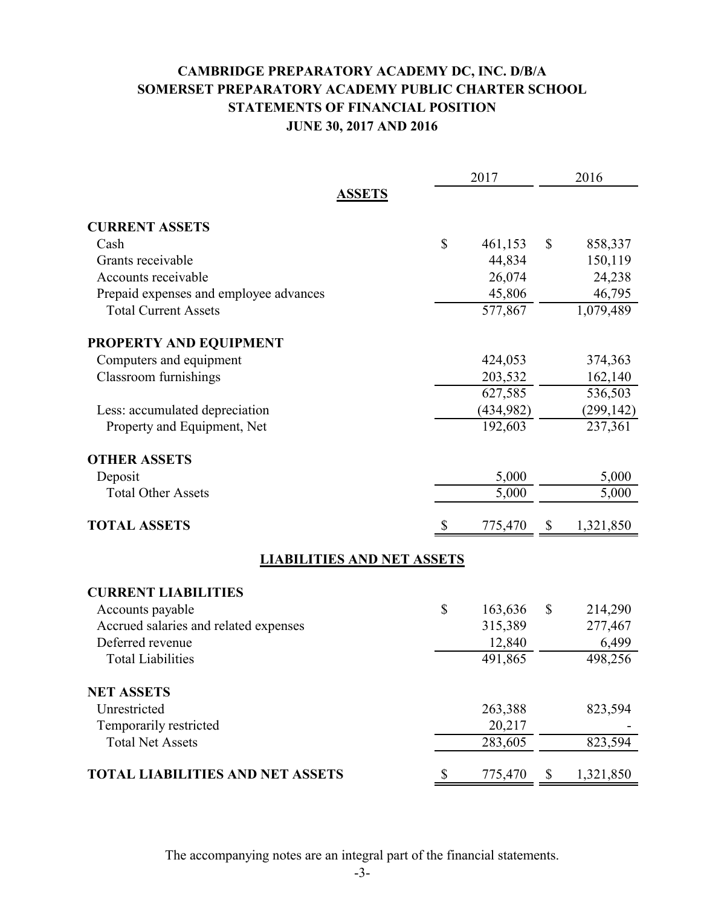# **CAMBRIDGE PREPARATORY ACADEMY DC, INC. D/B/A STATEMENTS OF FINANCIAL POSITION JUNE 30, 2017 AND 2016 SOMERSET PREPARATORY ACADEMY PUBLIC CHARTER SCHOOL**

|                                        | 2017          |                           | 2016                   |  |
|----------------------------------------|---------------|---------------------------|------------------------|--|
| <b>ASSETS</b>                          |               |                           |                        |  |
| <b>CURRENT ASSETS</b>                  |               |                           |                        |  |
| Cash                                   | \$<br>461,153 | $\mathbb{S}$              | 858,337                |  |
| Grants receivable                      | 44,834        |                           | 150,119                |  |
| Accounts receivable                    | 26,074        |                           | 24,238                 |  |
| Prepaid expenses and employee advances | 45,806        |                           | 46,795                 |  |
| <b>Total Current Assets</b>            | 577,867       |                           | $\overline{1,079,489}$ |  |
| PROPERTY AND EQUIPMENT                 |               |                           |                        |  |
| Computers and equipment                | 424,053       |                           | 374,363                |  |
| Classroom furnishings                  | 203,532       |                           | 162,140                |  |
|                                        | 627,585       |                           | 536,503                |  |
| Less: accumulated depreciation         | (434, 982)    |                           | (299, 142)             |  |
| Property and Equipment, Net            | 192,603       |                           | 237,361                |  |
| <b>OTHER ASSETS</b>                    |               |                           |                        |  |
| Deposit                                | 5,000         |                           | 5,000                  |  |
| <b>Total Other Assets</b>              | 5,000         |                           | 5,000                  |  |
| <b>TOTAL ASSETS</b>                    | \$<br>775,470 | $\boldsymbol{\mathsf{S}}$ | 1,321,850              |  |
| <b>LIABILITIES AND NET ASSETS</b>      |               |                           |                        |  |
| <b>CURRENT LIABILITIES</b>             |               |                           |                        |  |
| Accounts payable                       | \$<br>163,636 | \$                        | 214,290                |  |
| Accrued salaries and related expenses  | 315,389       |                           | 277,467                |  |
| Deferred revenue                       | 12,840        |                           | 6,499                  |  |
| <b>Total Liabilities</b>               | 491,865       |                           | 498,256                |  |
| <b>NET ASSETS</b>                      |               |                           |                        |  |
| Unrestricted                           | 263,388       |                           | 823,594                |  |
| Temporarily restricted                 | 20,217        |                           |                        |  |
| <b>Total Net Assets</b>                | 283,605       |                           | 823,594                |  |
| TOTAL LIABILITIES AND NET ASSETS       | \$<br>775,470 | \$                        | 1,321,850              |  |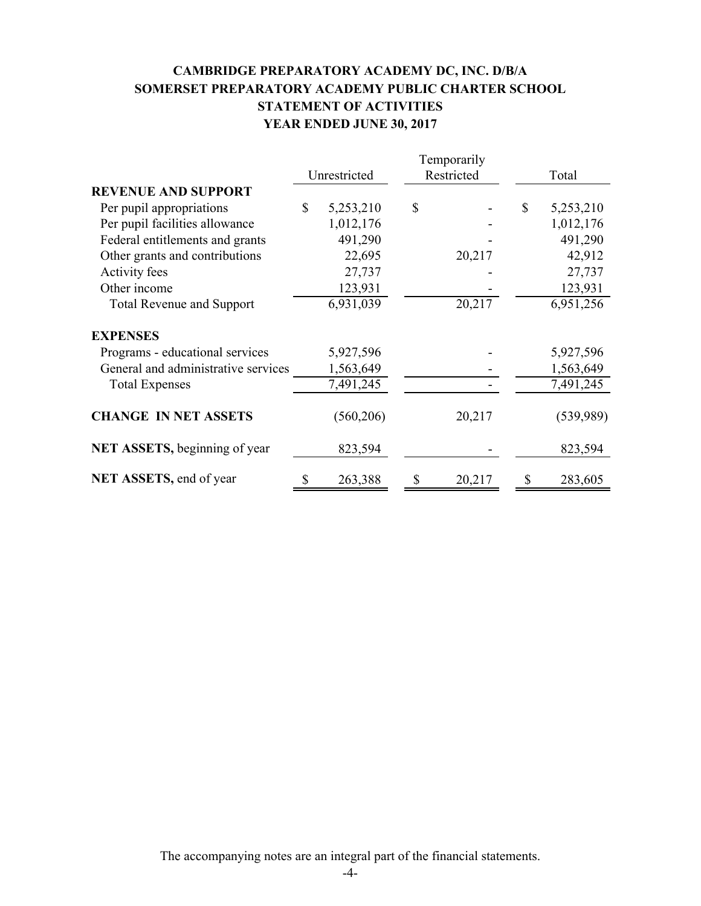# **CAMBRIDGE PREPARATORY ACADEMY DC, INC. D/B/A SOMERSET PREPARATORY ACADEMY PUBLIC CHARTER SCHOOL STATEMENT OF ACTIVITIES YEAR ENDED JUNE 30, 2017**

|                                      | Temporarily<br>Restricted<br>Unrestricted |              |        |    | Total     |  |
|--------------------------------------|-------------------------------------------|--------------|--------|----|-----------|--|
| <b>REVENUE AND SUPPORT</b>           |                                           |              |        |    |           |  |
| Per pupil appropriations             | \$<br>5,253,210                           | $\mathbb{S}$ |        | \$ | 5,253,210 |  |
| Per pupil facilities allowance       | 1,012,176                                 |              |        |    | 1,012,176 |  |
| Federal entitlements and grants      | 491,290                                   |              |        |    | 491,290   |  |
| Other grants and contributions       | 22,695                                    |              | 20,217 |    | 42,912    |  |
| <b>Activity fees</b>                 | 27,737                                    |              |        |    | 27,737    |  |
| Other income                         | 123,931                                   |              |        |    | 123,931   |  |
| <b>Total Revenue and Support</b>     | 6,931,039                                 |              | 20,217 |    | 6,951,256 |  |
| <b>EXPENSES</b>                      |                                           |              |        |    |           |  |
| Programs - educational services      | 5,927,596                                 |              |        |    | 5,927,596 |  |
| General and administrative services  | 1,563,649                                 |              |        |    | 1,563,649 |  |
| <b>Total Expenses</b>                | $\overline{7,491,245}$                    |              |        |    | 7,491,245 |  |
| <b>CHANGE IN NET ASSETS</b>          | (560, 206)                                |              | 20,217 |    | (539,989) |  |
| <b>NET ASSETS, beginning of year</b> | 823,594                                   |              |        |    | 823,594   |  |
| NET ASSETS, end of year              | 263,388                                   |              | 20,217 |    | 283,605   |  |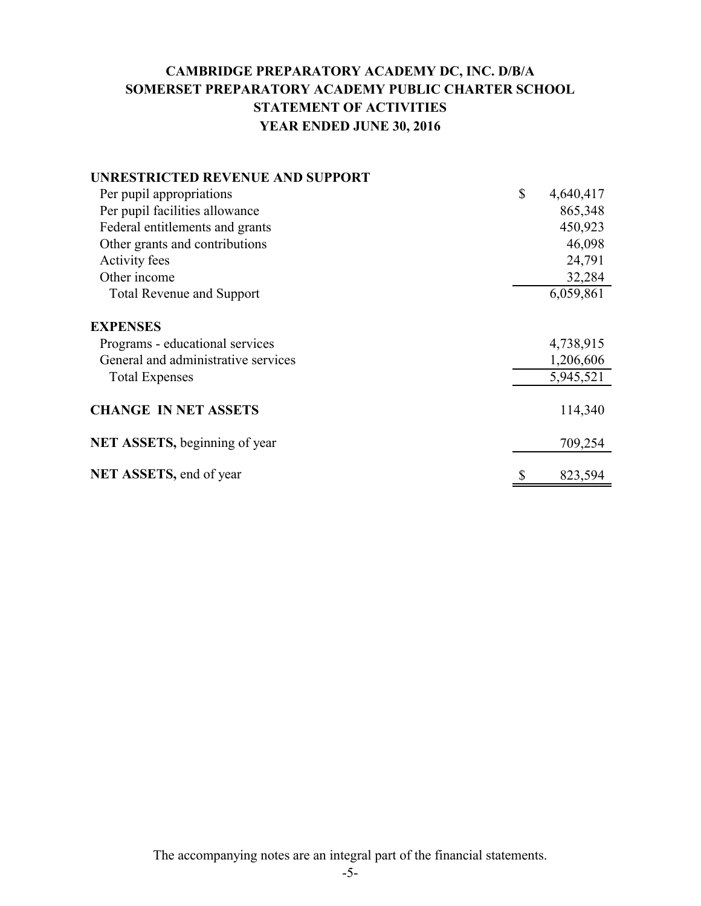# **CAMBRIDGE PREPARATORY ACADEMY DC, INC. D/B/A YEAR ENDED JUNE 30, 2016 STATEMENT OF ACTIVITIES SOMERSET PREPARATORY ACADEMY PUBLIC CHARTER SCHOOL**

# **UNRESTRICTED REVENUE AND SUPPORT**

| Per pupil appropriations             | \$<br>4,640,417 |
|--------------------------------------|-----------------|
| Per pupil facilities allowance       | 865,348         |
| Federal entitlements and grants      | 450,923         |
| Other grants and contributions       | 46,098          |
| Activity fees                        | 24,791          |
| Other income                         | 32,284          |
| <b>Total Revenue and Support</b>     | 6,059,861       |
| <b>EXPENSES</b>                      |                 |
| Programs - educational services      | 4,738,915       |
| General and administrative services  | 1,206,606       |
| <b>Total Expenses</b>                | 5,945,521       |
| <b>CHANGE IN NET ASSETS</b>          | 114,340         |
| <b>NET ASSETS, beginning of year</b> | 709,254         |
| NET ASSETS, end of year              | 823,594         |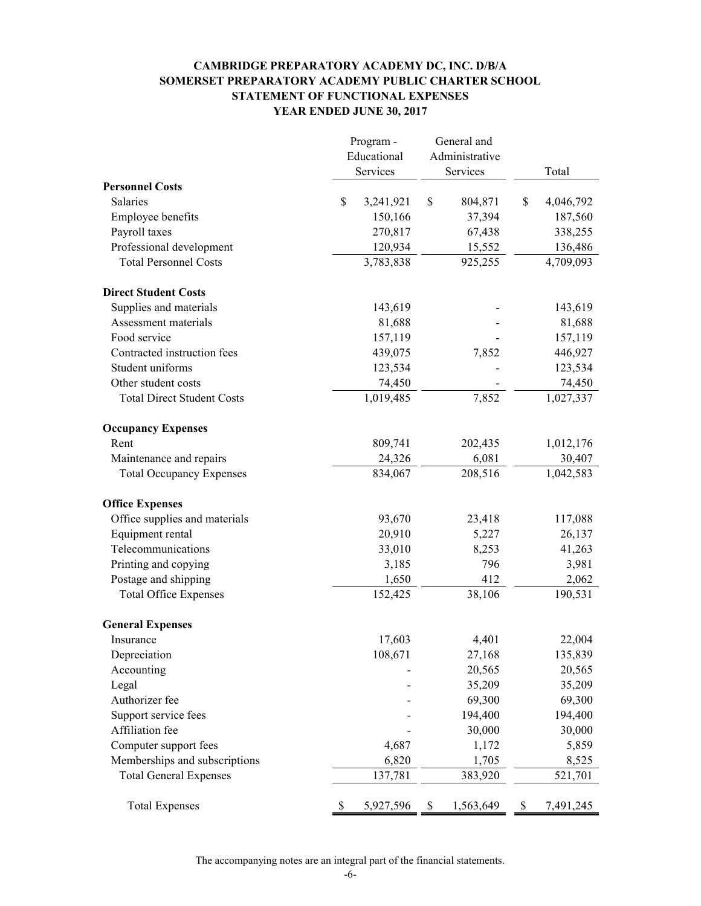#### **SOMERSET PREPARATORY ACADEMY PUBLIC CHARTER SCHOOL STATEMENT OF FUNCTIONAL EXPENSES YEAR ENDED JUNE 30, 2017 CAMBRIDGE PREPARATORY ACADEMY DC, INC. D/B/A**

|                                   | General and<br>Program -<br>Administrative<br>Educational<br>Services<br>Services |           |    | Total     |    |           |
|-----------------------------------|-----------------------------------------------------------------------------------|-----------|----|-----------|----|-----------|
| <b>Personnel Costs</b>            |                                                                                   |           |    |           |    |           |
| Salaries                          | \$                                                                                | 3,241,921 | \$ | 804,871   | \$ | 4,046,792 |
| Employee benefits                 |                                                                                   | 150,166   |    | 37,394    |    | 187,560   |
| Payroll taxes                     |                                                                                   | 270,817   |    | 67,438    |    | 338,255   |
| Professional development          |                                                                                   | 120,934   |    | 15,552    |    | 136,486   |
| <b>Total Personnel Costs</b>      |                                                                                   | 3,783,838 |    | 925,255   |    | 4,709,093 |
| <b>Direct Student Costs</b>       |                                                                                   |           |    |           |    |           |
| Supplies and materials            |                                                                                   | 143,619   |    |           |    | 143,619   |
| Assessment materials              |                                                                                   | 81,688    |    |           |    | 81,688    |
| Food service                      |                                                                                   | 157,119   |    |           |    | 157,119   |
| Contracted instruction fees       |                                                                                   | 439,075   |    | 7,852     |    | 446,927   |
| Student uniforms                  |                                                                                   | 123,534   |    |           |    | 123,534   |
| Other student costs               |                                                                                   | 74,450    |    |           |    | 74,450    |
| <b>Total Direct Student Costs</b> |                                                                                   | 1,019,485 |    | 7,852     |    | 1,027,337 |
| <b>Occupancy Expenses</b>         |                                                                                   |           |    |           |    |           |
| Rent                              |                                                                                   | 809,741   |    | 202,435   |    | 1,012,176 |
| Maintenance and repairs           |                                                                                   | 24,326    |    | 6,081     |    | 30,407    |
| <b>Total Occupancy Expenses</b>   |                                                                                   | 834,067   |    | 208,516   |    | 1,042,583 |
| <b>Office Expenses</b>            |                                                                                   |           |    |           |    |           |
| Office supplies and materials     |                                                                                   | 93,670    |    | 23,418    |    | 117,088   |
| Equipment rental                  |                                                                                   | 20,910    |    | 5,227     |    | 26,137    |
| Telecommunications                |                                                                                   | 33,010    |    | 8,253     |    | 41,263    |
| Printing and copying              |                                                                                   | 3,185     |    | 796       |    | 3,981     |
| Postage and shipping              |                                                                                   | 1,650     |    | 412       |    | 2,062     |
| <b>Total Office Expenses</b>      |                                                                                   | 152,425   |    | 38,106    |    | 190,531   |
| <b>General Expenses</b>           |                                                                                   |           |    |           |    |           |
| Insurance                         |                                                                                   | 17,603    |    | 4,401     |    | 22,004    |
| Depreciation                      |                                                                                   | 108,671   |    | 27,168    |    | 135,839   |
| Accounting                        |                                                                                   |           |    | 20,565    |    | 20,565    |
| Legal                             |                                                                                   |           |    | 35,209    |    | 35,209    |
| Authorizer fee                    |                                                                                   |           |    | 69,300    |    | 69,300    |
| Support service fees              |                                                                                   |           |    | 194,400   |    | 194,400   |
| Affiliation fee                   |                                                                                   |           |    | 30,000    |    | 30,000    |
| Computer support fees             |                                                                                   | 4,687     |    | 1,172     |    | 5,859     |
| Memberships and subscriptions     |                                                                                   | 6,820     |    | 1,705     |    | 8,525     |
| <b>Total General Expenses</b>     |                                                                                   | 137,781   |    | 383,920   |    | 521,701   |
| <b>Total Expenses</b>             | \$                                                                                | 5,927,596 | \$ | 1,563,649 | \$ | 7,491,245 |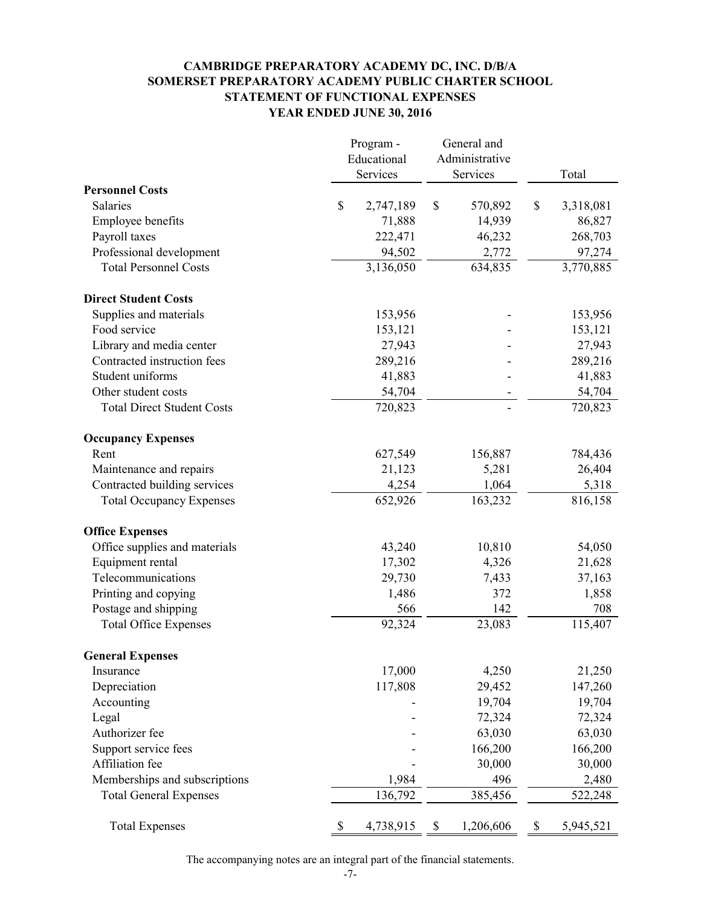# **CAMBRIDGE PREPARATORY ACADEMY DC, INC. D/B/A SOMERSET PREPARATORY ACADEMY PUBLIC CHARTER SCHOOL STATEMENT OF FUNCTIONAL EXPENSES YEAR ENDED JUNE 30, 2016**

|                                   | Program -<br>Educational<br>Services | General and<br>Administrative<br>Services |           |              | Total     |  |
|-----------------------------------|--------------------------------------|-------------------------------------------|-----------|--------------|-----------|--|
| <b>Personnel Costs</b>            |                                      |                                           |           |              |           |  |
| Salaries                          | \$<br>2,747,189                      | \$                                        | 570,892   | $\mathbb{S}$ | 3,318,081 |  |
| <b>Employee benefits</b>          | 71,888                               |                                           | 14,939    |              | 86,827    |  |
| Payroll taxes                     | 222,471                              |                                           | 46,232    |              | 268,703   |  |
| Professional development          | 94,502                               |                                           | 2,772     |              | 97,274    |  |
| <b>Total Personnel Costs</b>      | 3,136,050                            |                                           | 634,835   |              | 3,770,885 |  |
| <b>Direct Student Costs</b>       |                                      |                                           |           |              |           |  |
| Supplies and materials            | 153,956                              |                                           |           |              | 153,956   |  |
| Food service                      | 153,121                              |                                           |           |              | 153,121   |  |
| Library and media center          | 27,943                               |                                           |           |              | 27,943    |  |
| Contracted instruction fees       | 289,216                              |                                           |           |              | 289,216   |  |
| Student uniforms                  | 41,883                               |                                           |           |              | 41,883    |  |
| Other student costs               | 54,704                               |                                           |           |              | 54,704    |  |
| <b>Total Direct Student Costs</b> | 720,823                              |                                           |           |              | 720,823   |  |
| <b>Occupancy Expenses</b>         |                                      |                                           |           |              |           |  |
| Rent                              | 627,549                              |                                           | 156,887   |              | 784,436   |  |
| Maintenance and repairs           | 21,123                               |                                           | 5,281     |              | 26,404    |  |
| Contracted building services      | 4,254                                |                                           | 1,064     |              | 5,318     |  |
| <b>Total Occupancy Expenses</b>   | 652,926                              |                                           | 163,232   |              | 816,158   |  |
| <b>Office Expenses</b>            |                                      |                                           |           |              |           |  |
| Office supplies and materials     | 43,240                               |                                           | 10,810    |              | 54,050    |  |
| Equipment rental                  | 17,302                               |                                           | 4,326     |              | 21,628    |  |
| Telecommunications                | 29,730                               |                                           | 7,433     |              | 37,163    |  |
| Printing and copying              | 1,486                                |                                           | 372       |              | 1,858     |  |
| Postage and shipping              | 566                                  |                                           | 142       |              | 708       |  |
| <b>Total Office Expenses</b>      | 92,324                               |                                           | 23,083    |              | 115,407   |  |
| <b>General Expenses</b>           |                                      |                                           |           |              |           |  |
| Insurance                         | 17,000                               |                                           | 4,250     |              | 21,250    |  |
| Depreciation                      | 117,808                              |                                           | 29,452    |              | 147,260   |  |
| Accounting                        |                                      |                                           | 19,704    |              | 19,704    |  |
| Legal                             |                                      |                                           | 72,324    |              | 72,324    |  |
| Authorizer fee                    |                                      |                                           | 63,030    |              | 63,030    |  |
| Support service fees              |                                      |                                           | 166,200   |              | 166,200   |  |
| Affiliation fee                   |                                      |                                           | 30,000    |              | 30,000    |  |
| Memberships and subscriptions     | 1,984                                |                                           | 496       |              | 2,480     |  |
| <b>Total General Expenses</b>     | 136,792                              |                                           | 385,456   |              | 522,248   |  |
| <b>Total Expenses</b>             | \$<br>4,738,915                      | \$                                        | 1,206,606 | \$           | 5,945,521 |  |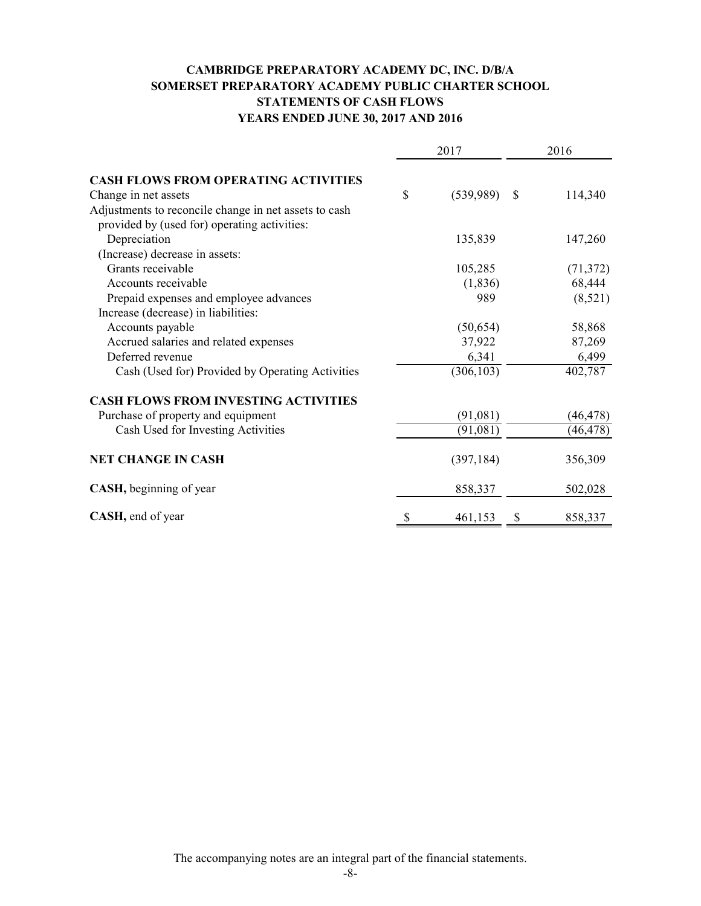# **SOMERSET PREPARATORY ACADEMY PUBLIC CHARTER SCHOOL STATEMENTS OF CASH FLOWS YEARS ENDED JUNE 30, 2017 AND 2016 CAMBRIDGE PREPARATORY ACADEMY DC, INC. D/B/A**

|                                                                                                       | 2017 |            |               | 2016      |  |
|-------------------------------------------------------------------------------------------------------|------|------------|---------------|-----------|--|
| <b>CASH FLOWS FROM OPERATING ACTIVITIES</b>                                                           |      |            |               |           |  |
| Change in net assets                                                                                  | \$   | (539,989)  | <sup>\$</sup> | 114,340   |  |
| Adjustments to reconcile change in net assets to cash<br>provided by (used for) operating activities: |      |            |               |           |  |
| Depreciation                                                                                          |      | 135,839    |               | 147,260   |  |
| (Increase) decrease in assets:                                                                        |      |            |               |           |  |
| Grants receivable                                                                                     |      | 105,285    |               | (71, 372) |  |
| Accounts receivable                                                                                   |      | (1, 836)   |               | 68,444    |  |
| Prepaid expenses and employee advances                                                                |      | 989        |               | (8,521)   |  |
| Increase (decrease) in liabilities:                                                                   |      |            |               |           |  |
| Accounts payable                                                                                      |      | (50, 654)  |               | 58,868    |  |
| Accrued salaries and related expenses                                                                 |      | 37,922     |               | 87,269    |  |
| Deferred revenue                                                                                      |      | 6,341      |               | 6,499     |  |
| Cash (Used for) Provided by Operating Activities                                                      |      | (306, 103) |               | 402,787   |  |
| <b>CASH FLOWS FROM INVESTING ACTIVITIES</b>                                                           |      |            |               |           |  |
| Purchase of property and equipment                                                                    |      | (91,081)   |               | (46, 478) |  |
| Cash Used for Investing Activities                                                                    |      | (91,081)   |               | (46, 478) |  |
| <b>NET CHANGE IN CASH</b>                                                                             |      | (397, 184) |               | 356,309   |  |
| CASH, beginning of year                                                                               |      | 858,337    |               | 502,028   |  |
| CASH, end of year                                                                                     |      | 461,153    |               | 858,337   |  |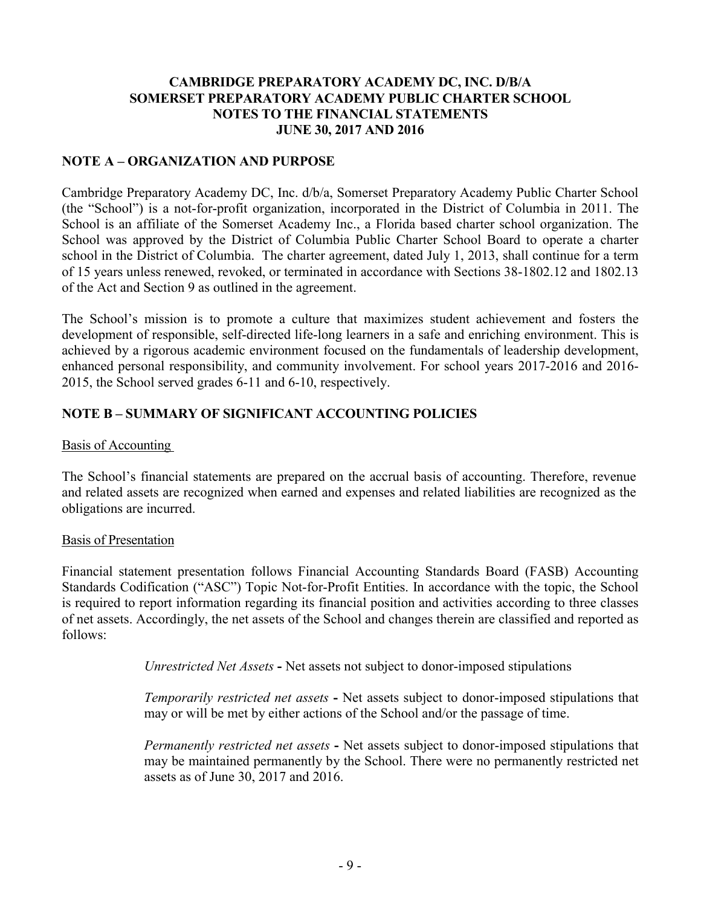# **NOTE A – ORGANIZATION AND PURPOSE**

Cambridge Preparatory Academy DC, Inc. d/b/a, Somerset Preparatory Academy Public Charter School (the "School") is a not-for-profit organization, incorporated in the District of Columbia in 2011. The School is an affiliate of the Somerset Academy Inc., a Florida based charter school organization. The School was approved by the District of Columbia Public Charter School Board to operate a charter school in the District of Columbia. The charter agreement, dated July 1, 2013, shall continue for a term of 15 years unless renewed, revoked, or terminated in accordance with Sections 38-1802.12 and 1802.13 of the Act and Section 9 as outlined in the agreement.

The School's mission is to promote a culture that maximizes student achievement and fosters the development of responsible, self-directed life-long learners in a safe and enriching environment. This is achieved by a rigorous academic environment focused on the fundamentals of leadership development, enhanced personal responsibility, and community involvement. For school years 2017-2016 and 2016- 2015, the School served grades 6-11 and 6-10, respectively.

# **NOTE B – SUMMARY OF SIGNIFICANT ACCOUNTING POLICIES**

### Basis of Accounting

The School's financial statements are prepared on the accrual basis of accounting. Therefore, revenue and related assets are recognized when earned and expenses and related liabilities are recognized as the obligations are incurred.

### Basis of Presentation

Financial statement presentation follows Financial Accounting Standards Board (FASB) Accounting Standards Codification ("ASC") Topic Not-for-Profit Entities. In accordance with the topic, the School is required to report information regarding its financial position and activities according to three classes of net assets. Accordingly, the net assets of the School and changes therein are classified and reported as follows:

*Unrestricted Net Assets* **-** Net assets not subject to donor-imposed stipulations

*Temporarily restricted net assets* **-** Net assets subject to donor-imposed stipulations that may or will be met by either actions of the School and/or the passage of time.

*Permanently restricted net assets* **-** Net assets subject to donor-imposed stipulations that may be maintained permanently by the School. There were no permanently restricted net assets as of June 30, 2017 and 2016.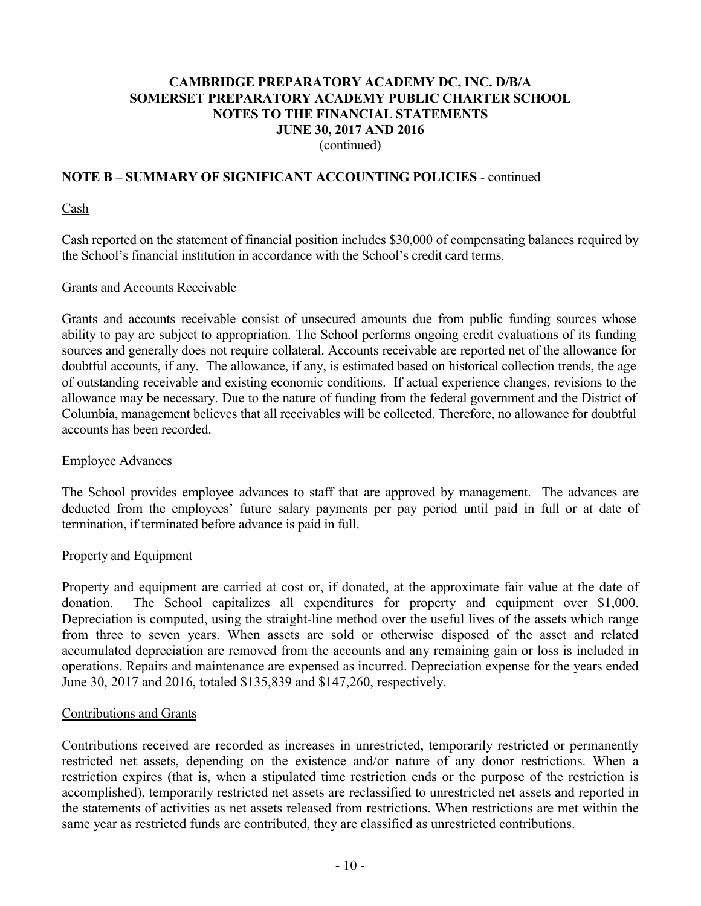## **NOTE B – SUMMARY OF SIGNIFICANT ACCOUNTING POLICIES** - continued

### Cash

Cash reported on the statement of financial position includes \$30,000 of compensating balances required by the School's financial institution in accordance with the School's credit card terms.

### Grants and Accounts Receivable

Grants and accounts receivable consist of unsecured amounts due from public funding sources whose ability to pay are subject to appropriation. The School performs ongoing credit evaluations of its funding sources and generally does not require collateral. Accounts receivable are reported net of the allowance for doubtful accounts, if any. The allowance, if any, is estimated based on historical collection trends, the age of outstanding receivable and existing economic conditions. If actual experience changes, revisions to the allowance may be necessary. Due to the nature of funding from the federal government and the District of Columbia, management believes that all receivables will be collected. Therefore, no allowance for doubtful accounts has been recorded.

### Employee Advances

The School provides employee advances to staff that are approved by management. The advances are deducted from the employees' future salary payments per pay period until paid in full or at date of termination, if terminated before advance is paid in full.

#### Property and Equipment

Property and equipment are carried at cost or, if donated, at the approximate fair value at the date of donation. The School capitalizes all expenditures for property and equipment over \$1,000. Depreciation is computed, using the straight-line method over the useful lives of the assets which range from three to seven years. When assets are sold or otherwise disposed of the asset and related accumulated depreciation are removed from the accounts and any remaining gain or loss is included in operations. Repairs and maintenance are expensed as incurred. Depreciation expense for the years ended June 30, 2017 and 2016, totaled \$135,839 and \$147,260, respectively.

### Contributions and Grants

Contributions received are recorded as increases in unrestricted, temporarily restricted or permanently restricted net assets, depending on the existence and/or nature of any donor restrictions. When a restriction expires (that is, when a stipulated time restriction ends or the purpose of the restriction is accomplished), temporarily restricted net assets are reclassified to unrestricted net assets and reported in the statements of activities as net assets released from restrictions. When restrictions are met within the same year as restricted funds are contributed, they are classified as unrestricted contributions.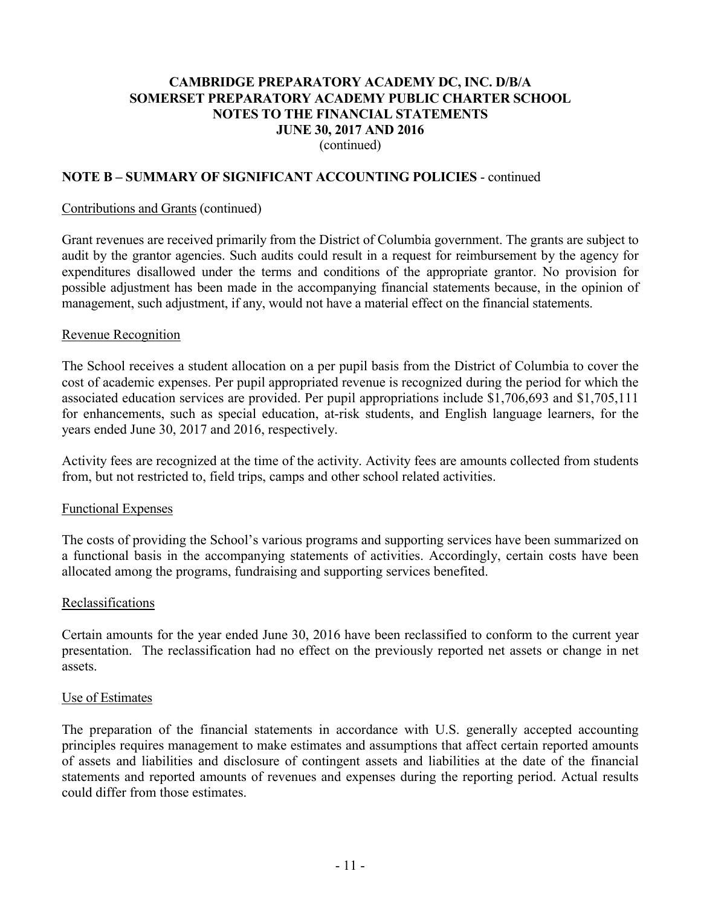## **NOTE B – SUMMARY OF SIGNIFICANT ACCOUNTING POLICIES** - continued

#### Contributions and Grants (continued)

Grant revenues are received primarily from the District of Columbia government. The grants are subject to audit by the grantor agencies. Such audits could result in a request for reimbursement by the agency for expenditures disallowed under the terms and conditions of the appropriate grantor. No provision for possible adjustment has been made in the accompanying financial statements because, in the opinion of management, such adjustment, if any, would not have a material effect on the financial statements.

#### Revenue Recognition

The School receives a student allocation on a per pupil basis from the District of Columbia to cover the cost of academic expenses. Per pupil appropriated revenue is recognized during the period for which the associated education services are provided. Per pupil appropriations include \$1,706,693 and \$1,705,111 for enhancements, such as special education, at-risk students, and English language learners, for the years ended June 30, 2017 and 2016, respectively.

Activity fees are recognized at the time of the activity. Activity fees are amounts collected from students from, but not restricted to, field trips, camps and other school related activities.

#### Functional Expenses

The costs of providing the School's various programs and supporting services have been summarized on a functional basis in the accompanying statements of activities. Accordingly, certain costs have been allocated among the programs, fundraising and supporting services benefited.

#### Reclassifications

Certain amounts for the year ended June 30, 2016 have been reclassified to conform to the current year presentation. The reclassification had no effect on the previously reported net assets or change in net assets.

#### Use of Estimates

The preparation of the financial statements in accordance with U.S. generally accepted accounting principles requires management to make estimates and assumptions that affect certain reported amounts of assets and liabilities and disclosure of contingent assets and liabilities at the date of the financial statements and reported amounts of revenues and expenses during the reporting period. Actual results could differ from those estimates.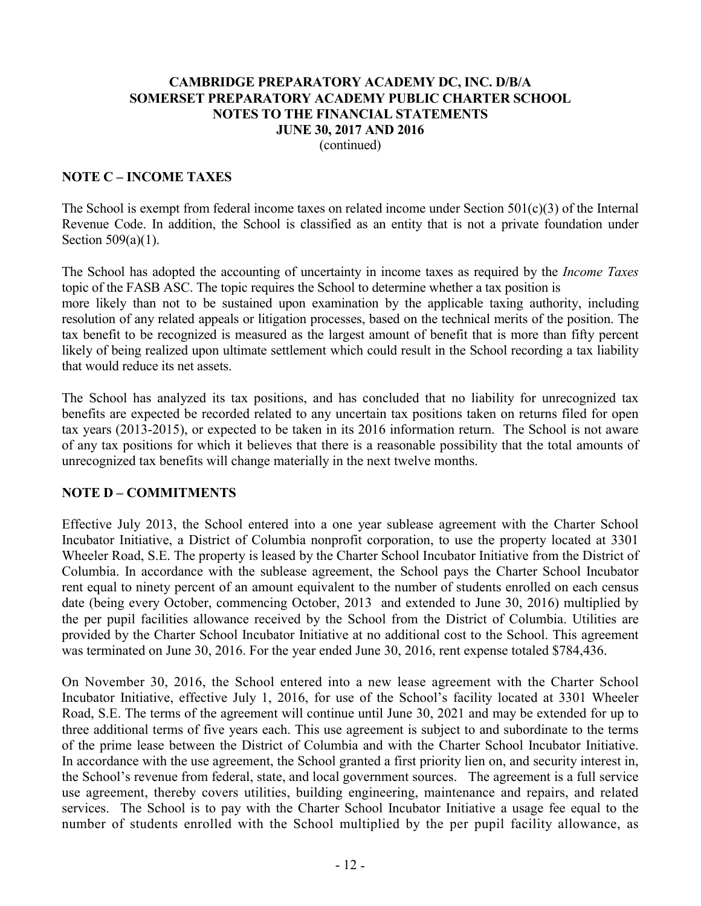#### **NOTE C – INCOME TAXES**

The School is exempt from federal income taxes on related income under Section  $501(c)(3)$  of the Internal Revenue Code. In addition, the School is classified as an entity that is not a private foundation under Section 509(a)(1).

The School has adopted the accounting of uncertainty in income taxes as required by the *Income Taxes* topic of the FASB ASC. The topic requires the School to determine whether a tax position is more likely than not to be sustained upon examination by the applicable taxing authority, including resolution of any related appeals or litigation processes, based on the technical merits of the position. The tax benefit to be recognized is measured as the largest amount of benefit that is more than fifty percent likely of being realized upon ultimate settlement which could result in the School recording a tax liability that would reduce its net assets.

The School has analyzed its tax positions, and has concluded that no liability for unrecognized tax benefits are expected be recorded related to any uncertain tax positions taken on returns filed for open tax years (2013-2015), or expected to be taken in its 2016 information return. The School is not aware of any tax positions for which it believes that there is a reasonable possibility that the total amounts of unrecognized tax benefits will change materially in the next twelve months.

### **NOTE D – COMMITMENTS**

Effective July 2013, the School entered into a one year sublease agreement with the Charter School Incubator Initiative, a District of Columbia nonprofit corporation, to use the property located at 3301 Wheeler Road, S.E. The property is leased by the Charter School Incubator Initiative from the District of Columbia. In accordance with the sublease agreement, the School pays the Charter School Incubator rent equal to ninety percent of an amount equivalent to the number of students enrolled on each census date (being every October, commencing October, 2013 and extended to June 30, 2016) multiplied by the per pupil facilities allowance received by the School from the District of Columbia. Utilities are provided by the Charter School Incubator Initiative at no additional cost to the School. This agreement was terminated on June 30, 2016. For the year ended June 30, 2016, rent expense totaled \$784,436.

On November 30, 2016, the School entered into a new lease agreement with the Charter School Incubator Initiative, effective July 1, 2016, for use of the School's facility located at 3301 Wheeler Road, S.E. The terms of the agreement will continue until June 30, 2021 and may be extended for up to three additional terms of five years each. This use agreement is subject to and subordinate to the terms of the prime lease between the District of Columbia and with the Charter School Incubator Initiative. In accordance with the use agreement, the School granted a first priority lien on, and security interest in, the School's revenue from federal, state, and local government sources. The agreement is a full service use agreement, thereby covers utilities, building engineering, maintenance and repairs, and related services. The School is to pay with the Charter School Incubator Initiative a usage fee equal to the number of students enrolled with the School multiplied by the per pupil facility allowance, as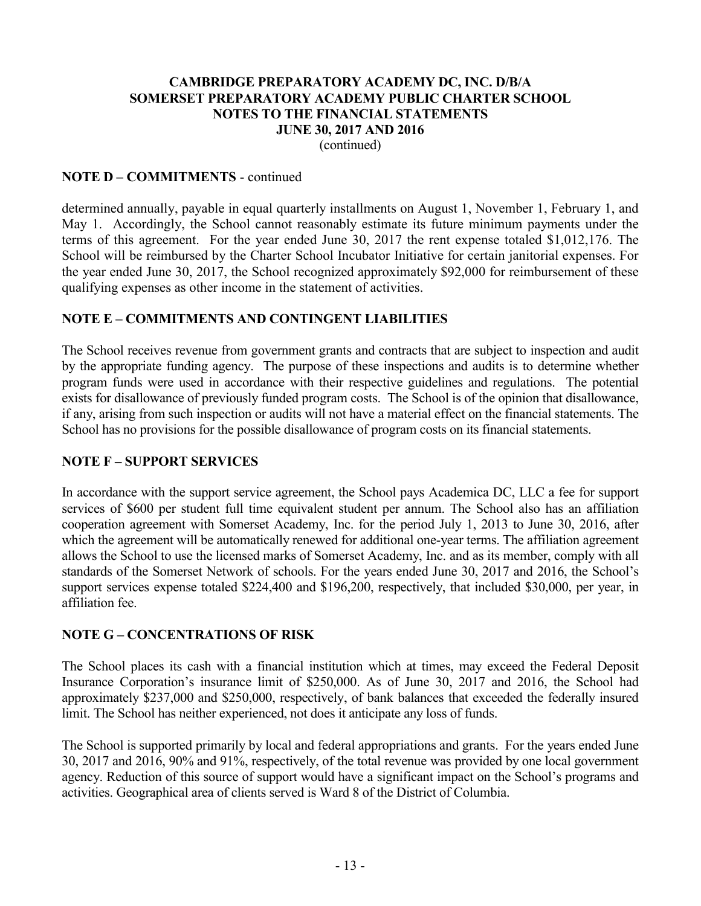# **NOTE D – COMMITMENTS** - continued

determined annually, payable in equal quarterly installments on August 1, November 1, February 1, and May 1. Accordingly, the School cannot reasonably estimate its future minimum payments under the terms of this agreement. For the year ended June 30, 2017 the rent expense totaled \$1,012,176. The School will be reimbursed by the Charter School Incubator Initiative for certain janitorial expenses. For the year ended June 30, 2017, the School recognized approximately \$92,000 for reimbursement of these qualifying expenses as other income in the statement of activities.

# **NOTE E – COMMITMENTS AND CONTINGENT LIABILITIES**

The School receives revenue from government grants and contracts that are subject to inspection and audit by the appropriate funding agency. The purpose of these inspections and audits is to determine whether program funds were used in accordance with their respective guidelines and regulations. The potential exists for disallowance of previously funded program costs. The School is of the opinion that disallowance, if any, arising from such inspection or audits will not have a material effect on the financial statements. The School has no provisions for the possible disallowance of program costs on its financial statements.

### **NOTE F – SUPPORT SERVICES**

In accordance with the support service agreement, the School pays Academica DC, LLC a fee for support services of \$600 per student full time equivalent student per annum. The School also has an affiliation cooperation agreement with Somerset Academy, Inc. for the period July 1, 2013 to June 30, 2016, after which the agreement will be automatically renewed for additional one-year terms. The affiliation agreement allows the School to use the licensed marks of Somerset Academy, Inc. and as its member, comply with all standards of the Somerset Network of schools. For the years ended June 30, 2017 and 2016, the School's support services expense totaled \$224,400 and \$196,200, respectively, that included \$30,000, per year, in affiliation fee.

# **NOTE G – CONCENTRATIONS OF RISK**

The School places its cash with a financial institution which at times, may exceed the Federal Deposit Insurance Corporation's insurance limit of \$250,000. As of June 30, 2017 and 2016, the School had approximately \$237,000 and \$250,000, respectively, of bank balances that exceeded the federally insured limit. The School has neither experienced, not does it anticipate any loss of funds.

The School is supported primarily by local and federal appropriations and grants. For the years ended June 30, 2017 and 2016, 90% and 91%, respectively, of the total revenue was provided by one local government agency. Reduction of this source of support would have a significant impact on the School's programs and activities. Geographical area of clients served is Ward 8 of the District of Columbia.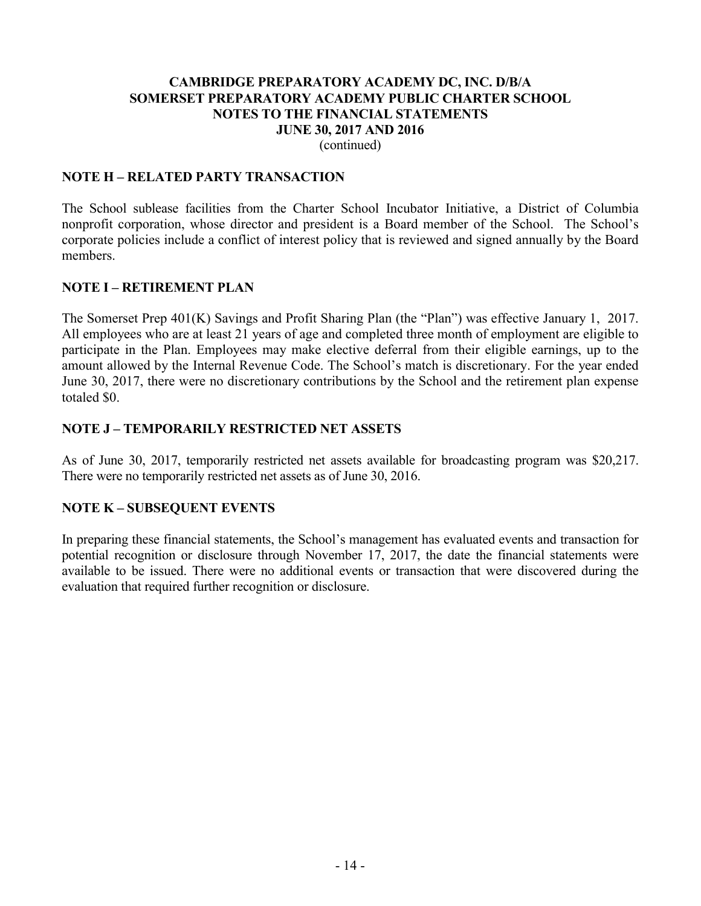### **NOTE H – RELATED PARTY TRANSACTION**

The School sublease facilities from the Charter School Incubator Initiative, a District of Columbia nonprofit corporation, whose director and president is a Board member of the School. The School's corporate policies include a conflict of interest policy that is reviewed and signed annually by the Board members.

#### **NOTE I – RETIREMENT PLAN**

The Somerset Prep 401(K) Savings and Profit Sharing Plan (the "Plan") was effective January 1, 2017. All employees who are at least 21 years of age and completed three month of employment are eligible to participate in the Plan. Employees may make elective deferral from their eligible earnings, up to the amount allowed by the Internal Revenue Code. The School's match is discretionary. For the year ended June 30, 2017, there were no discretionary contributions by the School and the retirement plan expense totaled \$0.

### **NOTE J – TEMPORARILY RESTRICTED NET ASSETS**

As of June 30, 2017, temporarily restricted net assets available for broadcasting program was \$20,217. There were no temporarily restricted net assets as of June 30, 2016.

### **NOTE K – SUBSEQUENT EVENTS**

In preparing these financial statements, the School's management has evaluated events and transaction for potential recognition or disclosure through November 17, 2017, the date the financial statements were available to be issued. There were no additional events or transaction that were discovered during the evaluation that required further recognition or disclosure.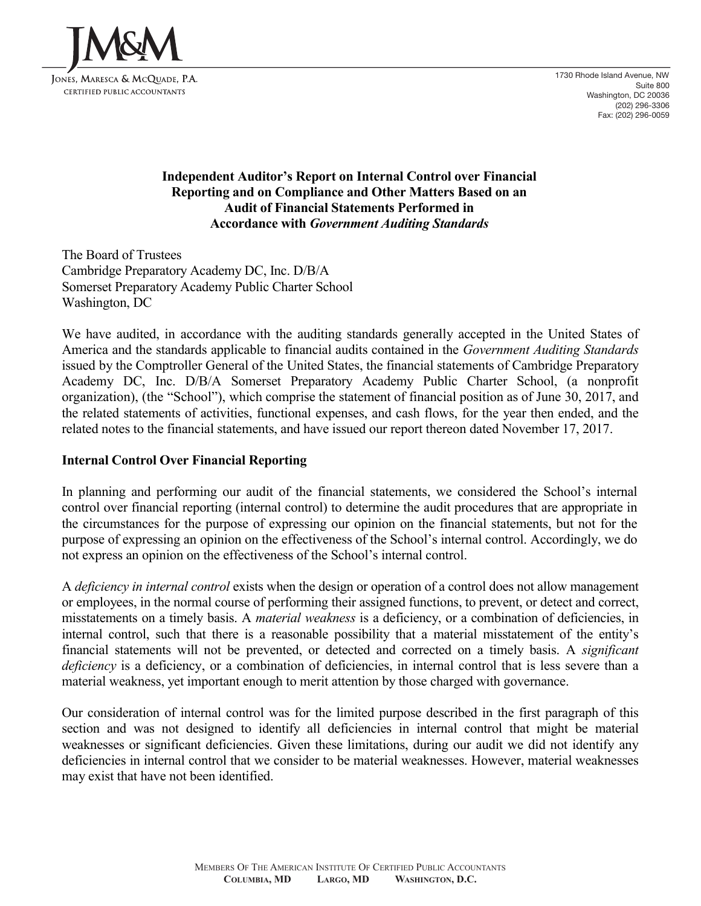

1730 Rhode Island Avenue, NW Suite 800 Washington, DC 20036 (202) 296-3306 Fax: (202) 296-0059

# **Independent Auditor's Report on Internal Control over Financial Reporting and on Compliance and Other Matters Based on an Audit of Financial Statements Performed in Accordance with** *Government Auditing Standards*

The Board of Trustees Cambridge Preparatory Academy DC, Inc. D/B/A Somerset Preparatory Academy Public Charter School Washington, DC

We have audited, in accordance with the auditing standards generally accepted in the United States of America and the standards applicable to financial audits contained in the *Government Auditing Standards* issued by the Comptroller General of the United States, the financial statements of Cambridge Preparatory Academy DC, Inc. D/B/A Somerset Preparatory Academy Public Charter School, (a nonprofit organization), (the "School"), which comprise the statement of financial position as of June 30, 2017, and the related statements of activities, functional expenses, and cash flows, for the year then ended, and the related notes to the financial statements, and have issued our report thereon dated November 17, 2017.

# **Internal Control Over Financial Reporting**

In planning and performing our audit of the financial statements, we considered the School's internal control over financial reporting (internal control) to determine the audit procedures that are appropriate in the circumstances for the purpose of expressing our opinion on the financial statements, but not for the purpose of expressing an opinion on the effectiveness of the School's internal control. Accordingly, we do not express an opinion on the effectiveness of the School's internal control.

A *deficiency in internal control* exists when the design or operation of a control does not allow management or employees, in the normal course of performing their assigned functions, to prevent, or detect and correct, misstatements on a timely basis. A *material weakness* is a deficiency, or a combination of deficiencies, in internal control, such that there is a reasonable possibility that a material misstatement of the entity's financial statements will not be prevented, or detected and corrected on a timely basis. A *significant deficiency* is a deficiency, or a combination of deficiencies, in internal control that is less severe than a material weakness, yet important enough to merit attention by those charged with governance.

Our consideration of internal control was for the limited purpose described in the first paragraph of this section and was not designed to identify all deficiencies in internal control that might be material weaknesses or significant deficiencies. Given these limitations, during our audit we did not identify any deficiencies in internal control that we consider to be material weaknesses. However, material weaknesses may exist that have not been identified.